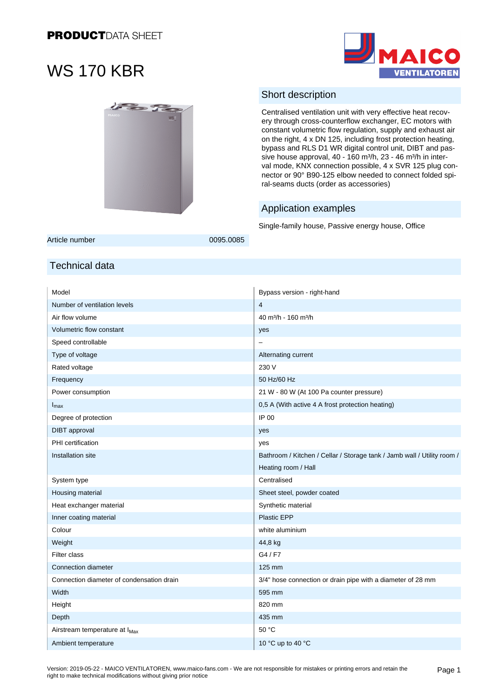



### Short description

Centralised ventilation unit with very effective heat recovery through cross-counterflow exchanger, EC motors with constant volumetric flow regulation, supply and exhaust air on the right, 4 x DN 125, including frost protection heating, bypass and RLS D1 WR digital control unit, DIBT and passive house approval, 40 - 160 m<sup>3</sup>/h, 23 - 46 m<sup>3</sup>/h in interval mode, KNX connection possible, 4 x SVR 125 plug connector or 90° B90-125 elbow needed to connect folded spiral-seams ducts (order as accessories)

### Application examples

Single-family house, Passive energy house, Office

Article number 0095.0085

### Technical data

| Model                                     | Bypass version - right-hand                                             |
|-------------------------------------------|-------------------------------------------------------------------------|
| Number of ventilation levels              | $\overline{4}$                                                          |
| Air flow volume                           | 40 m <sup>3</sup> /h - 160 m <sup>3</sup> /h                            |
| Volumetric flow constant                  | yes                                                                     |
| Speed controllable                        |                                                                         |
| Type of voltage                           | Alternating current                                                     |
| Rated voltage                             | 230 V                                                                   |
| Frequency                                 | 50 Hz/60 Hz                                                             |
| Power consumption                         | 21 W - 80 W (At 100 Pa counter pressure)                                |
| $I_{\text{max}}$                          | 0,5 A (With active 4 A frost protection heating)                        |
| Degree of protection                      | IP 00                                                                   |
| <b>DIBT</b> approval                      | yes                                                                     |
| PHI certification                         | yes                                                                     |
| Installation site                         | Bathroom / Kitchen / Cellar / Storage tank / Jamb wall / Utility room / |
|                                           | Heating room / Hall                                                     |
| System type                               | Centralised                                                             |
| Housing material                          | Sheet steel, powder coated                                              |
| Heat exchanger material                   | Synthetic material                                                      |
| Inner coating material                    | <b>Plastic EPP</b>                                                      |
| Colour                                    | white aluminium                                                         |
| Weight                                    | 44,8 kg                                                                 |
| Filter class                              | G4/F7                                                                   |
| Connection diameter                       | 125 mm                                                                  |
| Connection diameter of condensation drain | 3/4" hose connection or drain pipe with a diameter of 28 mm             |
| Width                                     | 595 mm                                                                  |
| Height                                    | 820 mm                                                                  |
| Depth                                     | 435 mm                                                                  |
| Airstream temperature at I <sub>Max</sub> | 50 °C                                                                   |
| Ambient temperature                       | 10 °C up to 40 °C                                                       |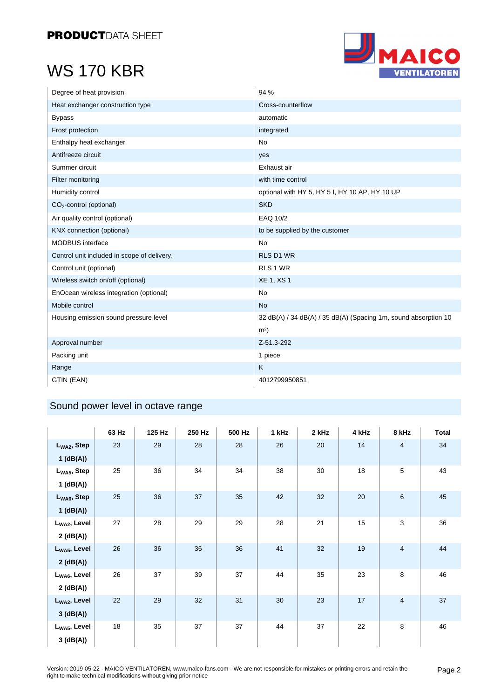

| Degree of heat provision                    | 94 %                                                            |
|---------------------------------------------|-----------------------------------------------------------------|
| Heat exchanger construction type            | Cross-counterflow                                               |
| <b>Bypass</b>                               | automatic                                                       |
| Frost protection                            | integrated                                                      |
| Enthalpy heat exchanger                     | <b>No</b>                                                       |
| Antifreeze circuit                          | yes                                                             |
| Summer circuit                              | Exhaust air                                                     |
| Filter monitoring                           | with time control                                               |
| Humidity control                            | optional with HY 5, HY 5 I, HY 10 AP, HY 10 UP                  |
| $CO2$ -control (optional)                   | <b>SKD</b>                                                      |
| Air quality control (optional)              | EAQ 10/2                                                        |
| KNX connection (optional)                   | to be supplied by the customer                                  |
| <b>MODBUS</b> interface                     | <b>No</b>                                                       |
| Control unit included in scope of delivery. | <b>RLS D1 WR</b>                                                |
| Control unit (optional)                     | RLS 1 WR                                                        |
| Wireless switch on/off (optional)           | <b>XE 1, XS 1</b>                                               |
| EnOcean wireless integration (optional)     | <b>No</b>                                                       |
| Mobile control                              | <b>No</b>                                                       |
| Housing emission sound pressure level       | 32 dB(A) / 34 dB(A) / 35 dB(A) (Spacing 1m, sound absorption 10 |
|                                             | m <sup>2</sup>                                                  |
| Approval number                             | Z-51.3-292                                                      |
| Packing unit                                | 1 piece                                                         |
| Range                                       | K                                                               |
| GTIN (EAN)                                  | 4012799950851                                                   |

### Sound power level in octave range

|                          | 63 Hz | 125 Hz | 250 Hz | 500 Hz | 1 kHz | 2 kHz | 4 kHz | 8 kHz          | <b>Total</b> |
|--------------------------|-------|--------|--------|--------|-------|-------|-------|----------------|--------------|
| $L_{WA2}$ , Step         | 23    | 29     | 28     | 28     | 26    | 20    | 14    | $\overline{4}$ | 34           |
| $1$ (dB(A))              |       |        |        |        |       |       |       |                |              |
| $L_{WA5}$ , Step         | 25    | 36     | 34     | 34     | 38    | 30    | 18    | 5              | 43           |
| $1$ (dB(A))              |       |        |        |        |       |       |       |                |              |
| $L_{WA6}$ , Step         | 25    | 36     | 37     | 35     | 42    | 32    | 20    | 6              | 45           |
| $1$ (dB(A))              |       |        |        |        |       |       |       |                |              |
| L <sub>WA2</sub> , Level | 27    | 28     | 29     | 29     | 28    | 21    | 15    | 3              | 36           |
| 2(dB(A))                 |       |        |        |        |       |       |       |                |              |
| L <sub>WA5</sub> , Level | 26    | 36     | 36     | 36     | 41    | 32    | 19    | 4              | 44           |
| 2(dB(A))                 |       |        |        |        |       |       |       |                |              |
| L <sub>WA6</sub> , Level | 26    | 37     | 39     | 37     | 44    | 35    | 23    | 8              | 46           |
| 2(dB(A))                 |       |        |        |        |       |       |       |                |              |
| L <sub>WA2</sub> , Level | 22    | 29     | 32     | 31     | 30    | 23    | 17    | 4              | 37           |
| 3(dB(A))                 |       |        |        |        |       |       |       |                |              |
| $L_{WA5}$ , Level        | 18    | 35     | 37     | 37     | 44    | 37    | 22    | 8              | 46           |
| 3(dB(A))                 |       |        |        |        |       |       |       |                |              |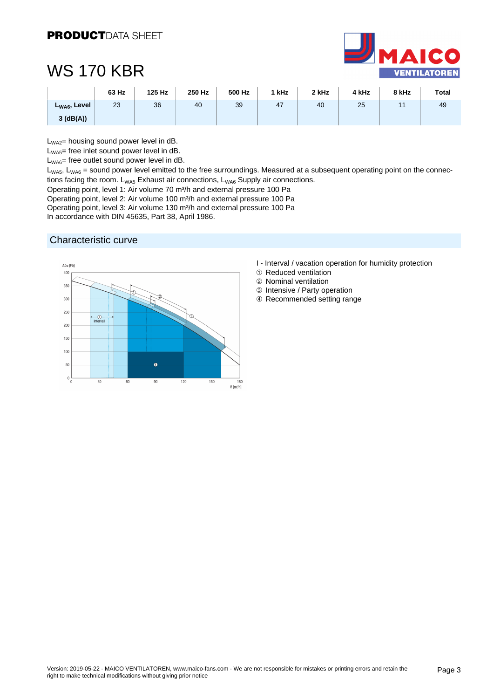

|                   | 63 Hz | 125 Hz | 250 Hz | 500 Hz | ' kHz | 2 kHz | 4 kHz | 8 kHz | <b>Total</b> |
|-------------------|-------|--------|--------|--------|-------|-------|-------|-------|--------------|
| $L_{WA6}$ , Level | 23    | 36     | 40     | 39     | 47    | 40    | 25    |       | 49           |
| $3$ (dB(A))       |       |        |        |        |       |       |       |       |              |

 $L_{WA2}$ = housing sound power level in dB.

L<sub>WA5</sub>= free inlet sound power level in dB.

L<sub>WA6</sub>= free outlet sound power level in dB.

 $L_{WAS}$ ,  $L_{WAS}$  = sound power level emitted to the free surroundings. Measured at a subsequent operating point on the connections facing the room.  $L_{WAS}$  Exhaust air connections,  $L_{WAS}$  Supply air connections.

Operating point, level 1: Air volume 70 m<sup>3</sup>/h and external pressure 100 Pa

Operating point, level 2: Air volume 100 m³/h and external pressure 100 Pa

Operating point, level 3: Air volume 130 m<sup>3</sup>/h and external pressure 100 Pa

In accordance with DIN 45635, Part 38, April 1986.

#### Characteristic curve



- I Interval / vacation operation for humidity protection
- 1 Reduced ventilation
- 2 Nominal ventilation
- 3 Intensive / Party operation
- 4 Recommended setting range